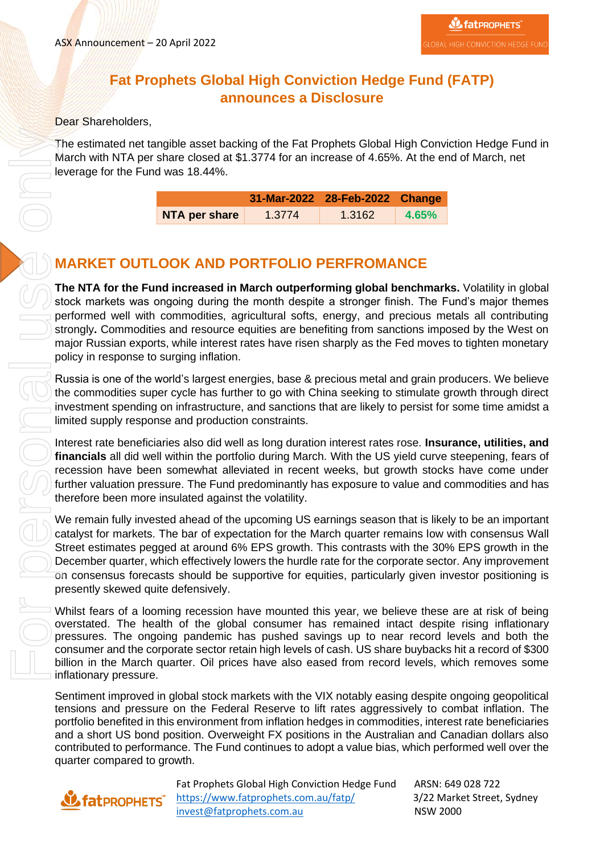#### **Fat Prophets Global High Conviction Hedge Fund (FATP) announces a Disclosure**

#### Dear Shareholders,

The estimated net tangible asset backing of the Fat Prophets Global High Conviction Hedge Fund in March with NTA per share closed at \$1.3774 for an increase of 4.65%. At the end of March, net leverage for the Fund was 18.44%.

|               |        | 31-Mar-2022 28-Feb-2022 Change |       |
|---------------|--------|--------------------------------|-------|
| NTA per share | 1.3774 | 1.3162                         | 4.65% |

#### **MARKET OUTLOOK AND PORTFOLIO PERFROMANCE**

**The NTA for the Fund increased in March outperforming global benchmarks.** Volatility in global stock markets was ongoing during the month despite a stronger finish. The Fund's major themes performed well with commodities, agricultural softs, energy, and precious metals all contributing strongly**.** Commodities and resource equities are benefiting from sanctions imposed by the West on major Russian exports, while interest rates have risen sharply as the Fed moves to tighten monetary policy in response to surging inflation.

Russia is one of the world's largest energies, base & precious metal and grain producers. We believe the commodities super cycle has further to go with China seeking to stimulate growth through direct investment spending on infrastructure, and sanctions that are likely to persist for some time amidst a limited supply response and production constraints.

Interest rate beneficiaries also did well as long duration interest rates rose. **Insurance, utilities, and financials** all did well within the portfolio during March. With the US yield curve steepening, fears of recession have been somewhat alleviated in recent weeks, but growth stocks have come under further valuation pressure. The Fund predominantly has exposure to value and commodities and has therefore been more insulated against the volatility.

We remain fully invested ahead of the upcoming US earnings season that is likely to be an important catalyst for markets. The bar of expectation for the March quarter remains low with consensus Wall Street estimates pegged at around 6% EPS growth. This contrasts with the 30% EPS growth in the December quarter, which effectively lowers the hurdle rate for the corporate sector. Any improvement on consensus forecasts should be supportive for equities, particularly given investor positioning is presently skewed quite defensively.

Whilst fears of a looming recession have mounted this year, we believe these are at risk of being overstated. The health of the global consumer has remained intact despite rising inflationary pressures. The ongoing pandemic has pushed savings up to near record levels and both the consumer and the corporate sector retain high levels of cash. US share buybacks hit a record of \$300 billion in the March quarter. Oil prices have also eased from record levels, which removes some inflationary pressure.

Sentiment improved in global stock markets with the VIX notably easing despite ongoing geopolitical tensions and pressure on the Federal Reserve to lift rates aggressively to combat inflation. The portfolio benefited in this environment from inflation hedges in commodities, interest rate beneficiaries and a short US bond position. Overweight FX positions in the Australian and Canadian dollars also contributed to performance. The Fund continues to adopt a value bias, which performed well over the quarter compared to growth.

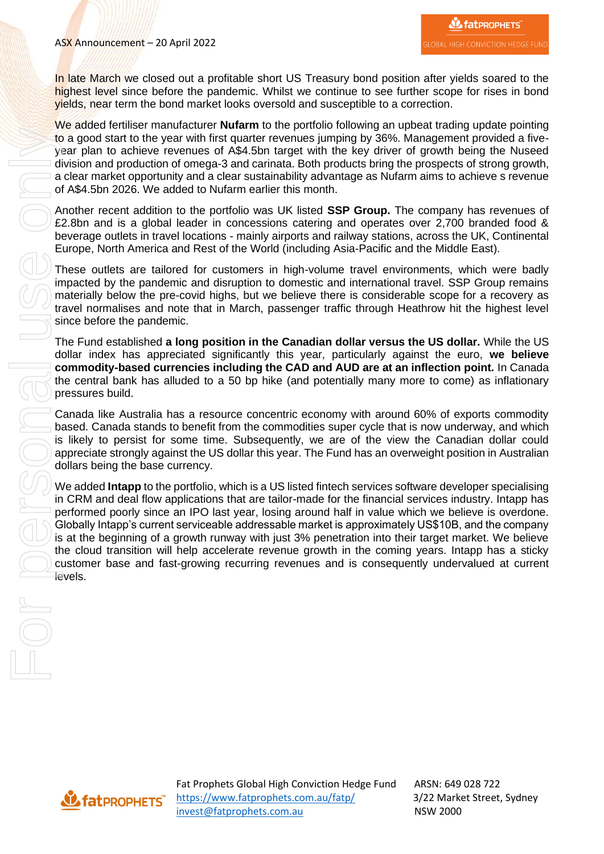In late March we closed out a profitable short US Treasury bond position after yields soared to the highest level since before the pandemic. Whilst we continue to see further scope for rises in bond yields, near term the bond market looks oversold and susceptible to a correction.

We added fertiliser manufacturer **Nufarm** to the portfolio following an upbeat trading update pointing to a good start to the year with first quarter revenues jumping by 36%. Management provided a fiveyear plan to achieve revenues of A\$4.5bn target with the key driver of growth being the Nuseed division and production of omega-3 and carinata. Both products bring the prospects of strong growth, a clear market opportunity and a clear sustainability advantage as Nufarm aims to achieve s revenue of A\$4.5bn 2026. We added to Nufarm earlier this month.

Another recent addition to the portfolio was UK listed **SSP Group.** The company has revenues of £2.8bn and is a global leader in concessions catering and operates over 2,700 branded food & beverage outlets in travel locations - mainly airports and railway stations, across the UK, Continental Europe, North America and Rest of the World (including Asia-Pacific and the Middle East).

These outlets are tailored for customers in high-volume travel environments, which were badly impacted by the pandemic and disruption to domestic and international travel. SSP Group remains materially below the pre-covid highs, but we believe there is considerable scope for a recovery as travel normalises and note that in March, passenger traffic through Heathrow hit the highest level since before the pandemic.

The Fund established **a long position in the Canadian dollar versus the US dollar.** While the US dollar index has appreciated significantly this year, particularly against the euro, **we believe commodity-based currencies including the CAD and AUD are at an inflection point.** In Canada the central bank has alluded to a 50 bp hike (and potentially many more to come) as inflationary pressures build.

Canada like Australia has a resource concentric economy with around 60% of exports commodity based. Canada stands to benefit from the commodities super cycle that is now underway, and which is likely to persist for some time. Subsequently, we are of the view the Canadian dollar could appreciate strongly against the US dollar this year. The Fund has an overweight position in Australian dollars being the base currency.

We added **Intapp** to the portfolio, which is a US listed fintech services software developer specialising in CRM and deal flow applications that are tailor-made for the financial services industry. Intapp has performed poorly since an IPO last year, losing around half in value which we believe is overdone. Globally Intapp's current serviceable addressable market is approximately US\$10B, and the company is at the beginning of a growth runway with just 3% penetration into their target market. We believe the cloud transition will help accelerate revenue growth in the coming years. Intapp has a sticky customer base and fast-growing recurring revenues and is consequently undervalued at current levels.

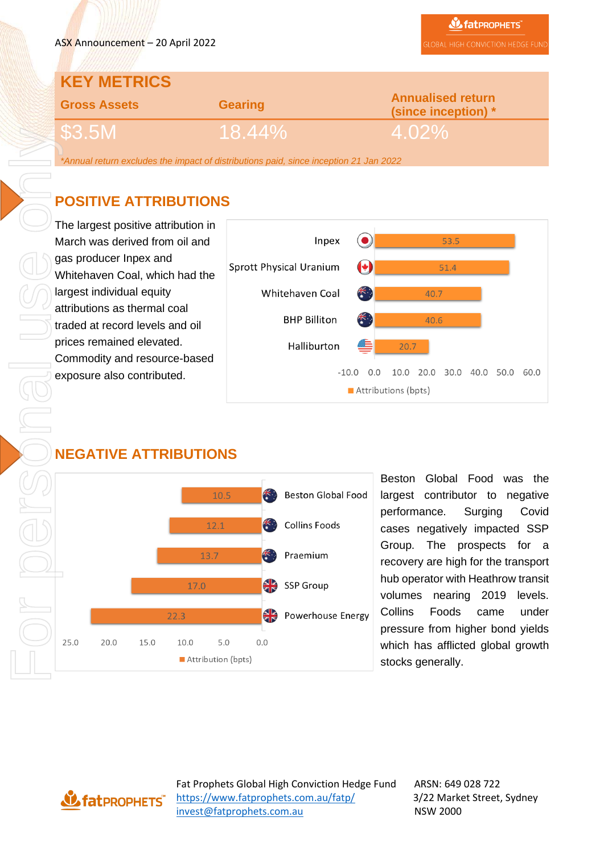# **KEY METRICS**

| <b>Gross Assets</b>                 | <b>Gearing</b> | <b>Annualised return</b><br>(since inception) * |  |
|-------------------------------------|----------------|-------------------------------------------------|--|
| <b>C<sub>2</sub> EM</b><br>၂ JUG.CO | \18.44%\       | 4.02%                                           |  |

*\*Annual return excludes the impact of distributions paid, since inception 21 Jan 2022*

## **POSITIVE ATTRIBUTIONS**

The largest positive attribution in March was derived from oil and gas producer Inpex and Whitehaven Coal, which had the largest individual equity attributions as thermal coal traded at record levels and oil prices remained elevated. Commodity and resource-based exposure also contributed.



## **NEGATIVE ATTRIBUTIONS**



Beston Global Food was the largest contributor to negative performance. Surging Covid cases negatively impacted SSP Group. The prospects for a recovery are high for the transport hub operator with Heathrow transit volumes nearing 2019 levels. Collins Foods came under pressure from higher bond yields which has afflicted global growth stocks generally.

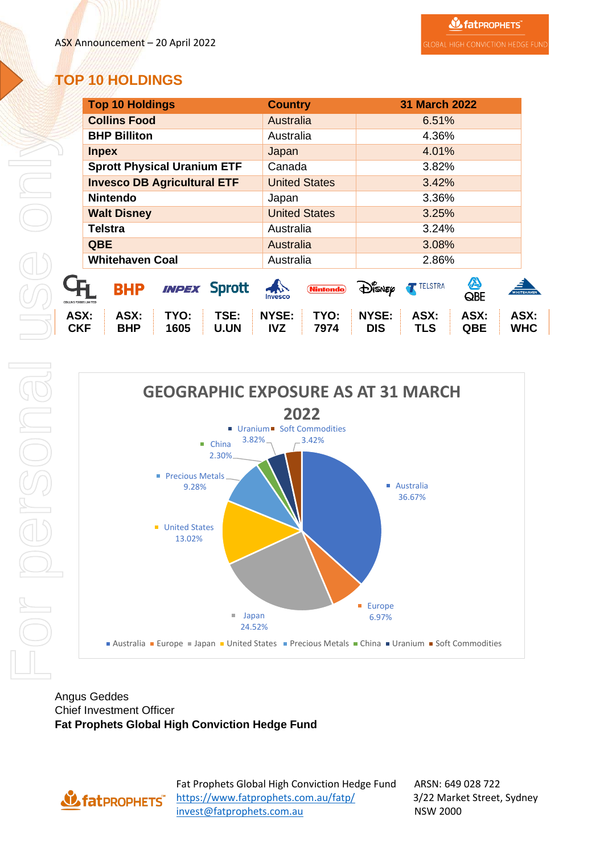### **TOP 10 HOLDINGS**

| <b>Top 10 Holdings</b>                                                   | <b>Country</b>                              | <b>31 March 2022</b>                                                                         |
|--------------------------------------------------------------------------|---------------------------------------------|----------------------------------------------------------------------------------------------|
| <b>Collins Food</b>                                                      | Australia                                   | 6.51%                                                                                        |
| <b>BHP Billiton</b>                                                      | Australia                                   | 4.36%                                                                                        |
| <b>Inpex</b>                                                             | Japan                                       | 4.01%                                                                                        |
| <b>Sprott Physical Uranium ETF</b>                                       | Canada                                      | 3.82%                                                                                        |
| <b>Invesco DB Agricultural ETF</b>                                       | <b>United States</b>                        | 3.42%                                                                                        |
| <b>Nintendo</b>                                                          | Japan                                       | 3.36%                                                                                        |
| <b>Walt Disney</b>                                                       | <b>United States</b>                        | 3.25%                                                                                        |
| <b>Telstra</b>                                                           | Australia                                   | 3.24%                                                                                        |
| <b>QBE</b>                                                               | Australia                                   | 3.08%                                                                                        |
| <b>Whitehaven Coal</b>                                                   | Australia                                   | 2.86%                                                                                        |
| <b>INPEX Sprott</b><br><b>BHP</b><br><b>LLINS FOODS LIMITED</b>          | $\rightarrow$<br><b>Nintendo</b><br>Invesco | A<br><b>TELSTRA</b><br>$\bigoplus_{i=1}^n$ snep<br><b>WHITEHAVEN</b><br>QBE                  |
| TSE:<br>TYO:<br>ASX:<br>ASX:<br><b>CKF</b><br><b>BHP</b><br>U.UN<br>1605 | NYSE:<br>TYO:<br><b>IVZ</b><br>7974         | <b>NYSE:</b><br>ASX:<br>ASX:<br>ASX:<br><b>TLS</b><br><b>WHC</b><br><b>DIS</b><br><b>QBE</b> |



Angus Geddes Chief Investment Officer **Fat Prophets Global High Conviction Hedge Fund**

**US fat PROPHETS** 

Fat Prophets Global High Conviction Hedge Fund ARSN: 649 028 722 <https://www.fatprophets.com.au/fatp/>3/22 Market Street, Sydney [invest@fatprophets.com.au](mailto:invest@fatprophets.com.au) NSW 2000

**ASX:**